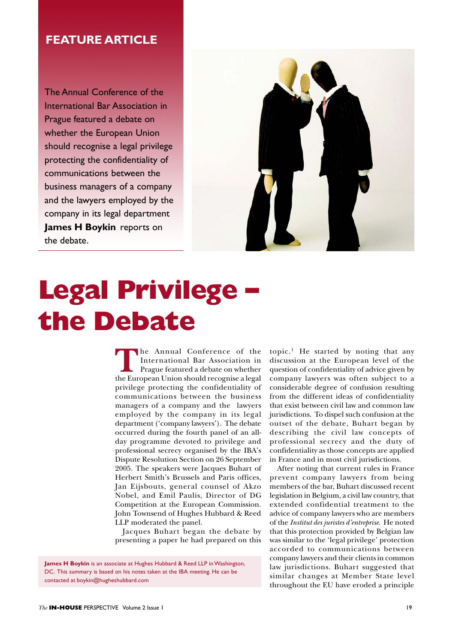## **FEATURE ARTICLE**

The Annual Conference of the International Bar Association in Prague featured a debate on whether the European Union should recognise a legal privilege protecting the confidentiality of communications between the business managers of a company and the lawyers employed by the company in its legal department **James H Boykin** reports on the debate.



## **Legal Privilege – the Debate**

The Annual Conference of the<br>
International Bar Association in<br>
Prague featured a debate on whether<br>
the European Union should recognise a legal International Bar Association in Prague featured a debate on whether privilege protecting the confidentiality of communications between the business managers of a company and the lawyers employed by the company in its legal department ('company lawyers'). The debate occurred during the fourth panel of an allday programme devoted to privilege and professional secrecy organised by the IBA's Dispute Resolution Section on 26 September 2005. The speakers were Jacques Buhart of Herbert Smith's Brussels and Paris offices, Jan Eijsbouts, general counsel of Akzo Nobel, and Emil Paulis, Director of DG Competition at the European Commission. John Townsend of Hughes Hubbard & Reed LLP moderated the panel.

Jacques Buhart began the debate by presenting a paper he had prepared on this

**James H Boykin** is an associate at Hughes Hubbard & Reed LLP in Washington, DC. This summary is based on his notes taken at the IBA meeting. He can be contacted at boykin@hugheshubbard.com

topic.<sup>1</sup> He started by noting that any discussion at the European level of the question of confidentiality of advice given by company lawyers was often subject to a considerable degree of confusion resulting from the different ideas of confidentiality that exist between civil law and common law jurisdictions. To dispel such confusion at the outset of the debate, Buhart began by describing the civil law concepts of professional secrecy and the duty of confidentiality as those concepts are applied in France and in most civil jurisdictions.

After noting that current rules in France prevent company lawyers from being members of the bar, Buhart discussed recent legislation in Belgium, a civil law country, that extended confidential treatment to the advice of company lawyers who are members of the *Institut des juristes d'entreprise*. He noted that this protection provided by Belgian law was similar to the 'legal privilege' protection accorded to communications between company lawyers and their clients in common law jurisdictions. Buhart suggested that similar changes at Member State level throughout the EU have eroded a principle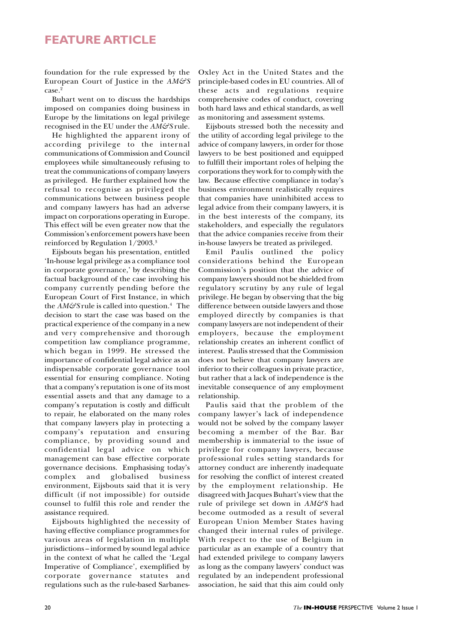## **FEATURE ARTICLE**

foundation for the rule expressed by the European Court of Justice in the *AM&S* case.<sup>2</sup>

Buhart went on to discuss the hardships imposed on companies doing business in Europe by the limitations on legal privilege recognised in the EU under the *AM&S* rule.

He highlighted the apparent irony of according privilege to the internal communications of Commission and Council employees while simultaneously refusing to treat the communications of company lawyers as privileged. He further explained how the refusal to recognise as privileged the communications between business people and company lawyers has had an adverse impact on corporations operating in Europe. This effect will be even greater now that the Commission's enforcement powers have been reinforced by Regulation 1/2003.3

Eijsbouts began his presentation, entitled 'In-house legal privilege as a compliance tool in corporate governance,' by describing the factual background of the case involving his company currently pending before the European Court of First Instance, in which the *AM&S* rule is called into question.4 The decision to start the case was based on the practical experience of the company in a new and very comprehensive and thorough competition law compliance programme, which began in 1999. He stressed the importance of confidential legal advice as an indispensable corporate governance tool essential for ensuring compliance. Noting that a company's reputation is one of its most essential assets and that any damage to a company's reputation is costly and difficult to repair, he elaborated on the many roles that company lawyers play in protecting a company's reputation and ensuring compliance, by providing sound and confidential legal advice on which management can base effective corporate governance decisions. Emphasising today's complex and globalised business environment, Eijsbouts said that it is very difficult (if not impossible) for outside counsel to fulfil this role and render the assistance required.

Eijsbouts highlighted the necessity of having effective compliance programmes for various areas of legislation in multiple jurisdictions – informed by sound legal advice in the context of what he called the 'Legal Imperative of Compliance', exemplified by corporate governance statutes and regulations such as the rule-based SarbanesOxley Act in the United States and the principle-based codes in EU countries. All of these acts and regulations require comprehensive codes of conduct, covering both hard laws and ethical standards, as well as monitoring and assessment systems.

Eijsbouts stressed both the necessity and the utility of according legal privilege to the advice of company lawyers, in order for those lawyers to be best positioned and equipped to fulfill their important roles of helping the corporations they work for to comply with the law. Because effective compliance in today's business environment realistically requires that companies have uninhibited access to legal advice from their company lawyers, it is in the best interests of the company, its stakeholders, and especially the regulators that the advice companies receive from their in-house lawyers be treated as privileged.

Emil Paulis outlined the policy considerations behind the European Commission's position that the advice of company lawyers should not be shielded from regulatory scrutiny by any rule of legal privilege. He began by observing that the big difference between outside lawyers and those employed directly by companies is that company lawyers are not independent of their employers, because the employment relationship creates an inherent conflict of interest. Paulis stressed that the Commission does not believe that company lawyers are inferior to their colleagues in private practice, but rather that a lack of independence is the inevitable consequence of any employment relationship.

Paulis said that the problem of the company lawyer's lack of independence would not be solved by the company lawyer becoming a member of the Bar. Bar membership is immaterial to the issue of privilege for company lawyers, because professional rules setting standards for attorney conduct are inherently inadequate for resolving the conflict of interest created by the employment relationship. He disagreed with Jacques Buhart's view that the rule of privilege set down in *AM&S* had become outmoded as a result of several European Union Member States having changed their internal rules of privilege. With respect to the use of Belgium in particular as an example of a country that had extended privilege to company lawyers as long as the company lawyers' conduct was regulated by an independent professional association, he said that this aim could only